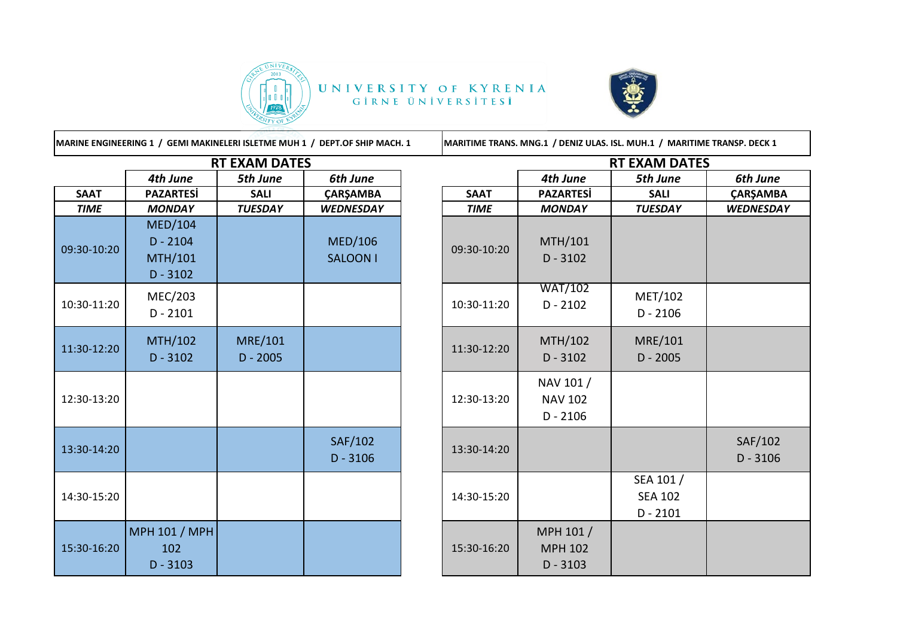

## UNIVERSITY OF KYRENIA GİRNE ÜNİVERSİTESİ



MARINE ENGINEERING 1 / GEMI MAKINELERI ISLETME MUH 1 / DEPT.OF SHIP MACH. 1 MARITIME TRANS. MNG.1 / DENIZ ULAS. ISL. MUH.1 / MARITIME TRANSP. DECK 1 **RT EXAM DATES RT EXAM DATES** *4th June 5th June 6th June 4th June 5th June 6th June* **SAAT PAZARTESİ SALI ÇARŞAMBA SAAT PAZARTESİ SALI ÇARŞAMBA** *TIME MONDAY TUESDAY WEDNESDAY TIME MONDAY TUESDAY WEDNESDAY* 09:30-10:20 MED/104 D - 2104 MTH/101 D - 3102 MED/106 SALOON I 09:30-10:20 MTH/101 D - 3102 10:30-11:20 MEC/203 D - 2101 10:30-11:20 WAT/102  $D - 2102$  MET/102 D - 2106 11:30-12:20 MTH/102 D - 3102 MRE/101 D - 2005 11:30-12:20 MTH/102 D - 3102 MRE/101 D - 2005 12:30-13:20 12:30-13:20 NAV 101 / NAV 102 D - 2106 13:30-14:20 SAF/102 D - 3106 13:30-14:20 SAF/102 D - 3106 14:30-15:20 14:30-15:20 SEA 101 / SEA 102 D - 2101 15:30-16:20 MPH 101 / MPH 102 D - 3103 15:30-16:20 MPH 101 / MPH 102 D - 3103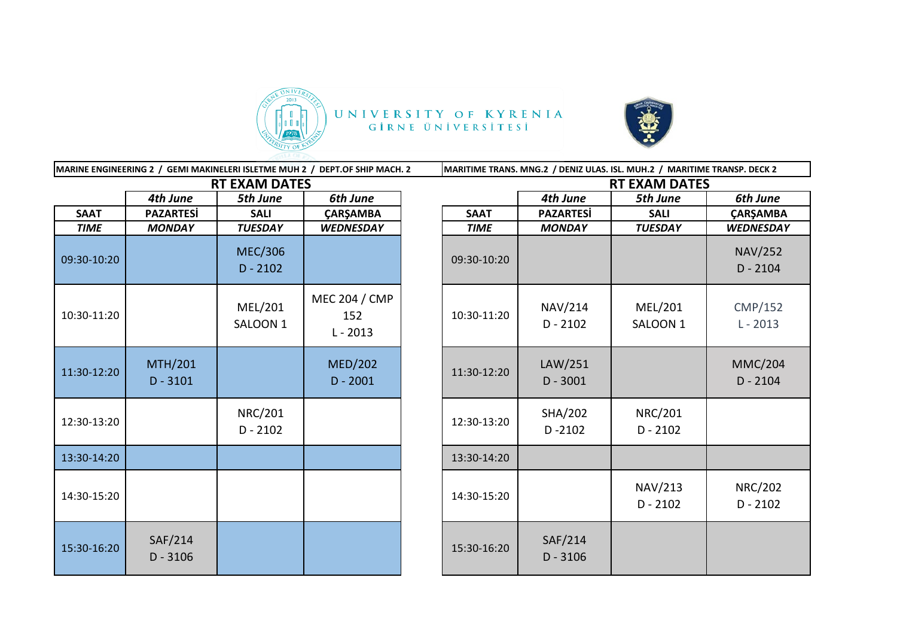



**MARINE ENGINEERING 2 / GEMI MAKINELERI ISLETME MUH 2 / DEPT.OF SHIP MACH. 2 MARITIME TRANS. MNG.2 / DENIZ ULAS. ISL. MUH.2 / MARITIME TRANSP. DECK 2** 

| <b>RT EXAM DATES</b> |                       |                              |                                    |  |             |                       | <b>RT EXAM DA</b>            |
|----------------------|-----------------------|------------------------------|------------------------------------|--|-------------|-----------------------|------------------------------|
|                      | 4th June              | 5th June                     | 6th June                           |  |             | 4th June              | <b>5th June</b>              |
| <b>SAAT</b>          | <b>PAZARTESİ</b>      | <b>SALI</b>                  | <b>ÇARŞAMBA</b>                    |  | <b>SAAT</b> | <b>PAZARTESİ</b>      | <b>SALI</b>                  |
| <b>TIME</b>          | <b>MONDAY</b>         | <b>TUESDAY</b>               | <b>WEDNESDAY</b>                   |  | <b>TIME</b> | <b>MONDAY</b>         | <b>TUESDAY</b>               |
| 09:30-10:20          |                       | <b>MEC/306</b><br>$D - 2102$ |                                    |  | 09:30-10:20 |                       |                              |
| 10:30-11:20          |                       | MEL/201<br>SALOON 1          | MEC 204 / CMP<br>152<br>$L - 2013$ |  | 10:30-11:20 | NAV/214<br>$D - 2102$ | <b>MEL/201</b><br>SALOON :   |
| 11:30-12:20          | MTH/201<br>$D - 3101$ |                              | <b>MED/202</b><br>$D - 2001$       |  | 11:30-12:20 | LAW/251<br>$D - 3001$ |                              |
| 12:30-13:20          |                       | <b>NRC/201</b><br>$D - 2102$ |                                    |  | 12:30-13:20 | SHA/202<br>$D - 2102$ | <b>NRC/201</b><br>$D - 2102$ |
| 13:30-14:20          |                       |                              |                                    |  | 13:30-14:20 |                       |                              |
| 14:30-15:20          |                       |                              |                                    |  | 14:30-15:20 |                       | <b>NAV/213</b><br>$D - 2102$ |
| 15:30-16:20          | SAF/214<br>$D - 3106$ |                              |                                    |  | 15:30-16:20 | SAF/214<br>$D - 3106$ |                              |

| <b>RT EXAM DATES</b> |                       |                              |                                    |  | <b>RT EXAM DATES</b> |                       |                              |                              |
|----------------------|-----------------------|------------------------------|------------------------------------|--|----------------------|-----------------------|------------------------------|------------------------------|
|                      | 4th June              | 5th June                     | 6th June                           |  |                      | 4th June              | 5th June                     | 6th June                     |
| <b>SAAT</b>          | <b>PAZARTESİ</b>      | <b>SALI</b>                  | <b>ÇARŞAMBA</b>                    |  | <b>SAAT</b>          | <b>PAZARTESİ</b>      | <b>SALI</b>                  | <b>ÇARŞAMBA</b>              |
| <b>TIME</b>          | <b>MONDAY</b>         | <b>TUESDAY</b>               | <b>WEDNESDAY</b>                   |  | <b>TIME</b>          | <b>MONDAY</b>         | <b>TUESDAY</b>               | <b>WEDNESDAY</b>             |
| 30-10:20             |                       | <b>MEC/306</b><br>$D - 2102$ |                                    |  | 09:30-10:20          |                       |                              | <b>NAV/252</b><br>$D - 2104$ |
| 30-11:20             |                       | MEL/201<br>SALOON 1          | MEC 204 / CMP<br>152<br>$L - 2013$ |  | 10:30-11:20          | NAV/214<br>$D - 2102$ | <b>MEL/201</b><br>SALOON 1   | CMP/152<br>$L - 2013$        |
| 30-12:20             | MTH/201<br>$D - 3101$ |                              | <b>MED/202</b><br>$D - 2001$       |  | 11:30-12:20          | LAW/251<br>$D - 3001$ |                              | <b>MMC/204</b><br>$D - 2104$ |
| 30-13:20             |                       | <b>NRC/201</b><br>$D - 2102$ |                                    |  | 12:30-13:20          | SHA/202<br>$D - 2102$ | <b>NRC/201</b><br>$D - 2102$ |                              |
| 30-14:20             |                       |                              |                                    |  | 13:30-14:20          |                       |                              |                              |
| 30-15:20             |                       |                              |                                    |  | 14:30-15:20          |                       | <b>NAV/213</b><br>$D - 2102$ | <b>NRC/202</b><br>$D - 2102$ |
| 30-16:20             | SAF/214<br>$D - 3106$ |                              |                                    |  | 15:30-16:20          | SAF/214<br>$D - 3106$ |                              |                              |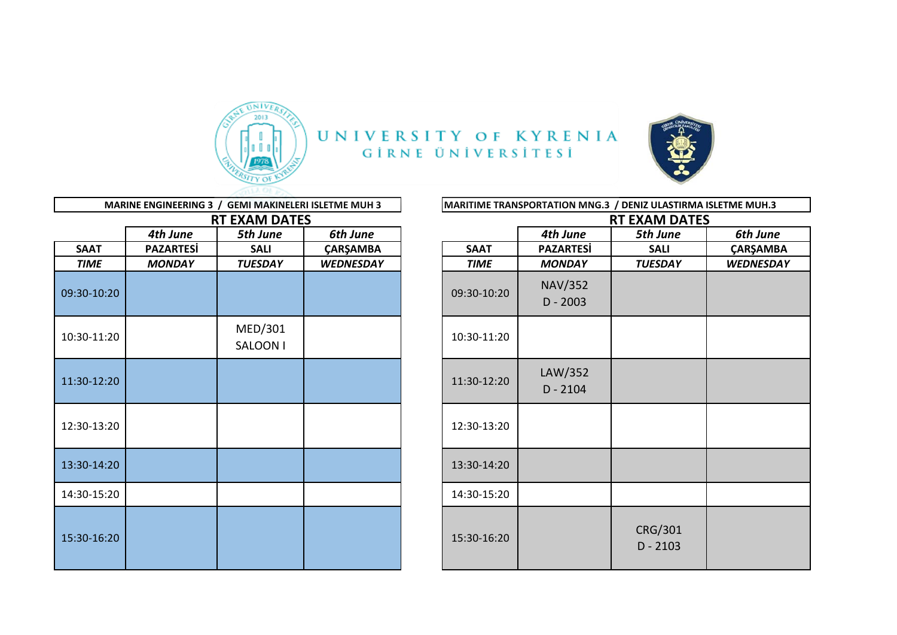

## UNIVERSITY OF KYRENIA GİRNE ÜNİVERSİTESİ



| MARINE ENGINEERING 3 / GEMI MAKINELERI ISLETME MUH 3 |                      |                 |                  |  |  |  |
|------------------------------------------------------|----------------------|-----------------|------------------|--|--|--|
|                                                      | <b>RT EXAM DATES</b> |                 |                  |  |  |  |
|                                                      | 4th June             | <b>5th June</b> | <b>6th June</b>  |  |  |  |
| <b>SAAT</b>                                          | <b>PAZARTESİ</b>     | <b>SALI</b>     | <b>ÇARŞAMBA</b>  |  |  |  |
| <b>TIME</b>                                          | <b>MONDAY</b>        | <b>TUESDAY</b>  | <b>WEDNESDAY</b> |  |  |  |
| 09:30-10:20                                          |                      |                 |                  |  |  |  |
|                                                      |                      | MED/301         |                  |  |  |  |
| 10:30-11:20                                          |                      | <b>SALOON I</b> |                  |  |  |  |
|                                                      |                      |                 |                  |  |  |  |
| 11:30-12:20                                          |                      |                 |                  |  |  |  |
| 12:30-13:20                                          |                      |                 |                  |  |  |  |
| 13:30-14:20                                          |                      |                 |                  |  |  |  |
| 14:30-15:20                                          |                      |                 |                  |  |  |  |
| 15:30-16:20                                          |                      |                 |                  |  |  |  |

| MARITIME TRANSPORTATION MNG.3 / DENIZ ULASTIRMA ISLETME MUH.3 |                              |                       |                  |  |  |  |
|---------------------------------------------------------------|------------------------------|-----------------------|------------------|--|--|--|
| <b>RT EXAM DATES</b>                                          |                              |                       |                  |  |  |  |
|                                                               | 4th June                     | <b>5th June</b>       | <b>6th June</b>  |  |  |  |
| <b>SAAT</b>                                                   | <b>PAZARTESİ</b>             | <b>SALI</b>           | ÇARŞAMBA         |  |  |  |
| <b>TIME</b>                                                   | <b>MONDAY</b>                | <b>TUESDAY</b>        | <b>WEDNESDAY</b> |  |  |  |
| 09:30-10:20                                                   | <b>NAV/352</b><br>$D - 2003$ |                       |                  |  |  |  |
| 10:30-11:20                                                   |                              |                       |                  |  |  |  |
| 11:30-12:20                                                   | LAW/352<br>$D - 2104$        |                       |                  |  |  |  |
| 12:30-13:20                                                   |                              |                       |                  |  |  |  |
| 13:30-14:20                                                   |                              |                       |                  |  |  |  |
| 14:30-15:20                                                   |                              |                       |                  |  |  |  |
| 15:30-16:20                                                   |                              | CRG/301<br>$D - 2103$ |                  |  |  |  |